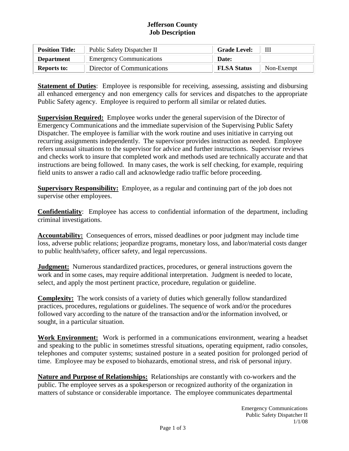# **Jefferson County Job Description**

| <b>Position Title:</b> | Public Safety Dispatcher II     | <b>Grade Level:</b> |            |
|------------------------|---------------------------------|---------------------|------------|
| <b>Department</b>      | <b>Emergency Communications</b> | Date:               |            |
| <b>Reports to:</b>     | Director of Communications      | <b>FLSA Status</b>  | Non-Exempt |

**Statement of Duties**: Employee is responsible for receiving, assessing, assisting and disbursing all enhanced emergency and non emergency calls for services and dispatches to the appropriate Public Safety agency. Employee is required to perform all similar or related duties.

**Supervision Required:** Employee works under the general supervision of the Director of Emergency Communications and the immediate supervision of the Supervising Public Safety Dispatcher. The employee is familiar with the work routine and uses initiative in carrying out recurring assignments independently. The supervisor provides instruction as needed. Employee refers unusual situations to the supervisor for advice and further instructions. Supervisor reviews and checks work to insure that completed work and methods used are technically accurate and that instructions are being followed. In many cases, the work is self checking, for example, requiring field units to answer a radio call and acknowledge radio traffic before proceeding.

**Supervisory Responsibility:** Employee, as a regular and continuing part of the job does not supervise other employees.

**Confidentiality**: Employee has access to confidential information of the department, including criminal investigations.

**Accountability:** Consequences of errors, missed deadlines or poor judgment may include time loss, adverse public relations; jeopardize programs, monetary loss, and labor/material costs danger to public health/safety, officer safety, and legal repercussions.

**Judgment:** Numerous standardized practices, procedures, or general instructions govern the work and in some cases, may require additional interpretation. Judgment is needed to locate, select, and apply the most pertinent practice, procedure, regulation or guideline.

**Complexity:** The work consists of a variety of duties which generally follow standardized practices, procedures, regulations or guidelines. The sequence of work and/or the procedures followed vary according to the nature of the transaction and/or the information involved, or sought, in a particular situation.

**Work Environment:** Work is performed in a communications environment, wearing a headset and speaking to the public in sometimes stressful situations, operating equipment, radio consoles, telephones and computer systems; sustained posture in a seated position for prolonged period of time. Employee may be exposed to biohazards, emotional stress, and risk of personal injury.

**Nature and Purpose of Relationships:** Relationships are constantly with co-workers and the public. The employee serves as a spokesperson or recognized authority of the organization in matters of substance or considerable importance. The employee communicates departmental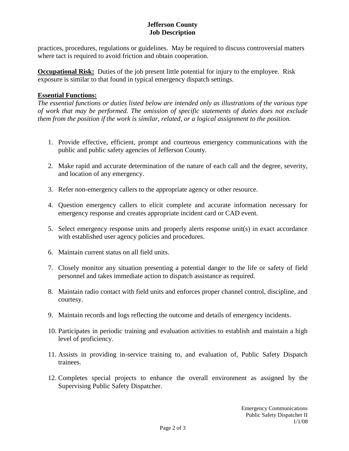# **Jefferson County Job Description**

practices, procedures, regulations or guidelines. May be required to discuss controversial matters where tact is required to avoid friction and obtain cooperation.

**Occupational Risk:** Duties of the job present little potential for injury to the employee. Risk exposure is similar to that found in typical emergency dispatch settings.

# **Essential Functions:**

*The essential functions or duties listed below are intended only as illustrations of the various type of work that may be performed. The omission of specific statements of duties does not exclude them from the position if the work is similar, related, or a logical assignment to the position.*

- 1. Provide effective, efficient, prompt and courteous emergency communications with the public and public safety agencies of Jefferson County.
- 2. Make rapid and accurate determination of the nature of each call and the degree, severity, and location of any emergency.
- 3. Refer non-emergency callers to the appropriate agency or other resource.
- 4. Question emergency callers to elicit complete and accurate information necessary for emergency response and creates appropriate incident card or CAD event.
- 5. Select emergency response units and properly alerts response unit(s) in exact accordance with established user agency policies and procedures.
- 6. Maintain current status on all field units.
- 7. Closely monitor any situation presenting a potential danger to the life or safety of field personnel and takes immediate action to dispatch assistance as required.
- 8. Maintain radio contact with field units and enforces proper channel control, discipline, and courtesy.
- 9. Maintain records and logs reflecting the outcome and details of emergency incidents.
- 10. Participates in periodic training and evaluation activities to establish and maintain a high level of proficiency.
- 11. Assists in providing in-service training to, and evaluation of, Public Safety Dispatch trainees.
- 12. Completes special projects to enhance the overall environment as assigned by the Supervising Public Safety Dispatcher.